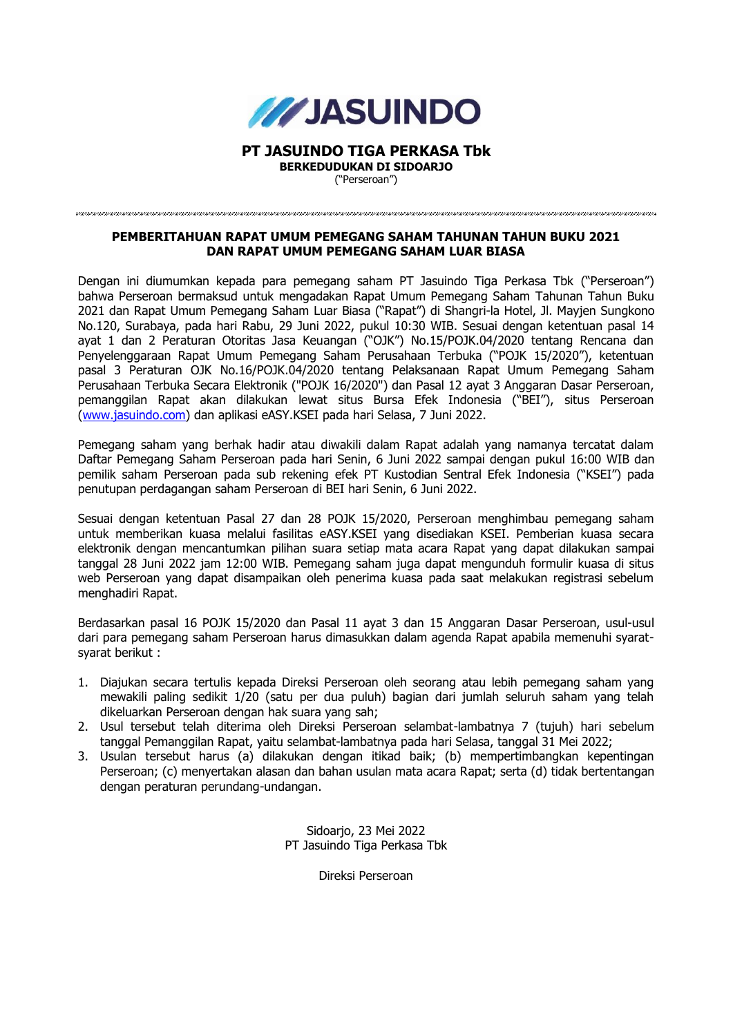

## **PT JASUINDO TIGA PERKASA Tbk BERKEDUDUKAN DI SIDOARJO** ("Perseroan")

## **PEMBERITAHUAN RAPAT UMUM PEMEGANG SAHAM TAHUNAN TAHUN BUKU 2021 DAN RAPAT UMUM PEMEGANG SAHAM LUAR BIASA**

Dengan ini diumumkan kepada para pemegang saham PT Jasuindo Tiga Perkasa Tbk ("Perseroan") bahwa Perseroan bermaksud untuk mengadakan Rapat Umum Pemegang Saham Tahunan Tahun Buku 2021 dan Rapat Umum Pemegang Saham Luar Biasa ("Rapat") di Shangri-la Hotel, Jl. Mayjen Sungkono No.120, Surabaya, pada hari Rabu, 29 Juni 2022, pukul 10:30 WIB. Sesuai dengan ketentuan pasal 14 ayat 1 dan 2 Peraturan Otoritas Jasa Keuangan ("OJK") No.15/POJK.04/2020 tentang Rencana dan Penyelenggaraan Rapat Umum Pemegang Saham Perusahaan Terbuka ("POJK 15/2020"), ketentuan pasal 3 Peraturan OJK No.16/POJK.04/2020 tentang Pelaksanaan Rapat Umum Pemegang Saham Perusahaan Terbuka Secara Elektronik ("POJK 16/2020") dan Pasal 12 ayat 3 Anggaran Dasar Perseroan, pemanggilan Rapat akan dilakukan lewat situs Bursa Efek Indonesia ("BEI"), situs Perseroan [\(www.jasuindo.com\)](http://www.jasuindo.com/) dan aplikasi eASY.KSEI pada hari Selasa, 7 Juni 2022.

Pemegang saham yang berhak hadir atau diwakili dalam Rapat adalah yang namanya tercatat dalam Daftar Pemegang Saham Perseroan pada hari Senin, 6 Juni 2022 sampai dengan pukul 16:00 WIB dan pemilik saham Perseroan pada sub rekening efek PT Kustodian Sentral Efek Indonesia ("KSEI") pada penutupan perdagangan saham Perseroan di BEI hari Senin, 6 Juni 2022.

Sesuai dengan ketentuan Pasal 27 dan 28 POJK 15/2020, Perseroan menghimbau pemegang saham untuk memberikan kuasa melalui fasilitas eASY.KSEI yang disediakan KSEI. Pemberian kuasa secara elektronik dengan mencantumkan pilihan suara setiap mata acara Rapat yang dapat dilakukan sampai tanggal 28 Juni 2022 jam 12:00 WIB. Pemegang saham juga dapat mengunduh formulir kuasa di situs web Perseroan yang dapat disampaikan oleh penerima kuasa pada saat melakukan registrasi sebelum menghadiri Rapat.

Berdasarkan pasal 16 POJK 15/2020 dan Pasal 11 ayat 3 dan 15 Anggaran Dasar Perseroan, usul-usul dari para pemegang saham Perseroan harus dimasukkan dalam agenda Rapat apabila memenuhi syaratsyarat berikut :

- 1. Diajukan secara tertulis kepada Direksi Perseroan oleh seorang atau lebih pemegang saham yang mewakili paling sedikit 1/20 (satu per dua puluh) bagian dari jumlah seluruh saham yang telah dikeluarkan Perseroan dengan hak suara yang sah;
- 2. Usul tersebut telah diterima oleh Direksi Perseroan selambat-lambatnya 7 (tujuh) hari sebelum tanggal Pemanggilan Rapat, yaitu selambat-lambatnya pada hari Selasa, tanggal 31 Mei 2022;
- 3. Usulan tersebut harus (a) dilakukan dengan itikad baik; (b) mempertimbangkan kepentingan Perseroan; (c) menyertakan alasan dan bahan usulan mata acara Rapat; serta (d) tidak bertentangan dengan peraturan perundang-undangan.

Sidoarjo, 23 Mei 2022 PT Jasuindo Tiga Perkasa Tbk

Direksi Perseroan